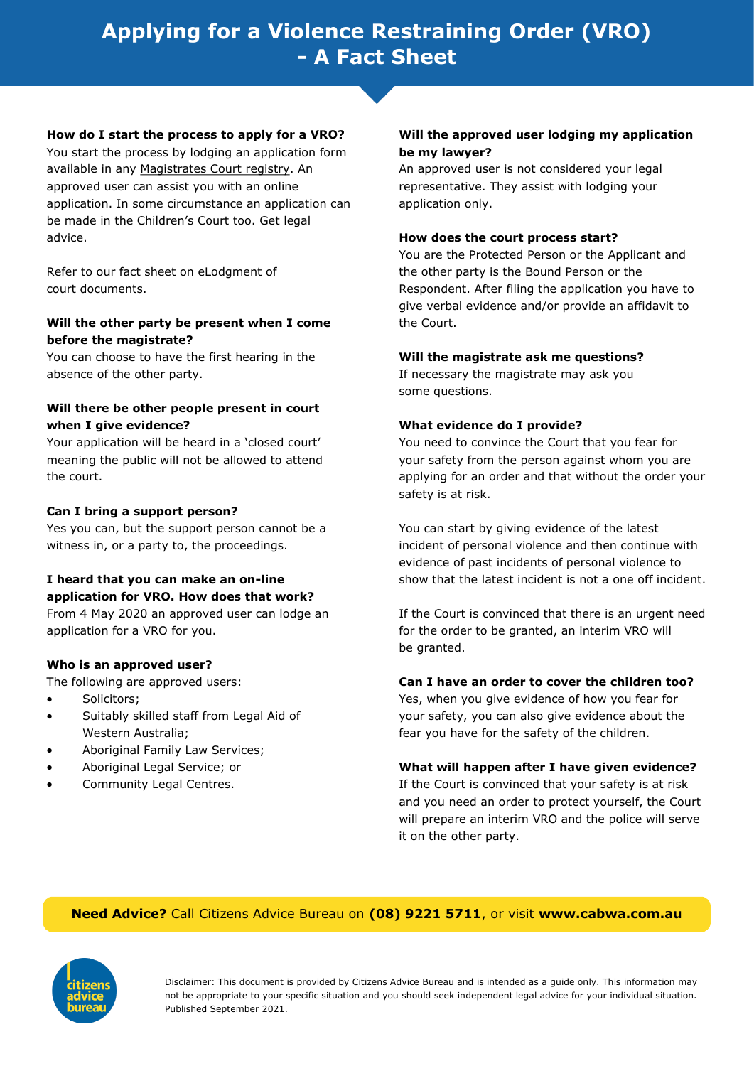# **Applying for a Violence Restraining Order (VRO) - A Fact Sheet**

#### **How do I start the process to apply for a VRO?**

You start the process by lodging an application form available in any [Magistrates Court registry.](http://www.magistratescourt.wa.gov.au) An approved user can assist you with an online application. In some circumstance an application can be made in the Children's Court too. Get legal advice.

Refer to our fact sheet on eLodgment of court documents.

# **Will the other party be present when I come before the magistrate?**

You can choose to have the first hearing in the absence of the other party.

# **Will there be other people present in court when I give evidence?**

Your application will be heard in a 'closed court' meaning the public will not be allowed to attend the court.

## **Can I bring a support person?**

Yes you can, but the support person cannot be a witness in, or a party to, the proceedings.

# **I heard that you can make an on-line application for VRO. How does that work?**

From 4 May 2020 an approved user can lodge an application for a VRO for you.

#### **Who is an approved user?**

The following are approved users:

- Solicitors;
- Suitably skilled staff from Legal Aid of Western Australia;
- Aboriginal Family Law Services;
- Aboriginal Legal Service; or
- Community Legal Centres.

## **Will the approved user lodging my application be my lawyer?**

An approved user is not considered your legal representative. They assist with lodging your application only.

#### **How does the court process start?**

You are the Protected Person or the Applicant and the other party is the Bound Person or the Respondent. After filing the application you have to give verbal evidence and/or provide an affidavit to the Court.

#### **Will the magistrate ask me questions?**

If necessary the magistrate may ask you some questions.

## **What evidence do I provide?**

You need to convince the Court that you fear for your safety from the person against whom you are applying for an order and that without the order your safety is at risk.

You can start by giving evidence of the latest incident of personal violence and then continue with evidence of past incidents of personal violence to show that the latest incident is not a one off incident.

If the Court is convinced that there is an urgent need for the order to be granted, an interim VRO will be granted.

#### **Can I have an order to cover the children too?**

Yes, when you give evidence of how you fear for your safety, you can also give evidence about the fear you have for the safety of the children.

#### **What will happen after I have given evidence?**

If the Court is convinced that your safety is at risk and you need an order to protect yourself, the Court will prepare an interim VRO and the police will serve it on the other party.

# **Need Advice?** Call Citizens Advice Bureau on **(08) 9221 5711**, or visit **www.cabwa.com.au**



Disclaimer: This document is provided by Citizens Advice Bureau and is intended as a guide only. This information may not be appropriate to your specific situation and you should seek independent legal advice for your individual situation. Published September 2021.